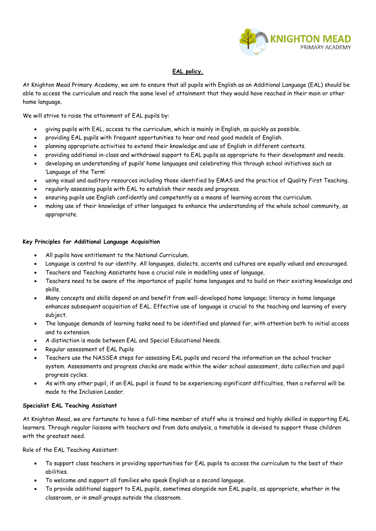

# **EAL policy.**

At Knighton Mead Primary Academy, we aim to ensure that all pupils with English as an Additional Language (EAL) should be able to access the curriculum and reach the same level of attainment that they would have reached in their main or other home language.

We will strive to raise the attainment of EAL pupils by:

- giving pupils with EAL, access to the curriculum, which is mainly in English, as quickly as possible.
- providing EAL pupils with frequent opportunities to hear and read good models of English.
- planning appropriate activities to extend their knowledge and use of English in different contexts.
- providing additional in-class and withdrawal support to EAL pupils as appropriate to their development and needs.
- developing an understanding of pupils' home languages and celebrating this through school initiatives such as 'Language of the Term'
- using visual and auditory resources including those identified by EMAS and the practice of Quality First Teaching.
- regularly assessing pupils with EAL to establish their needs and progress.
- ensuring pupils use English confidently and competently as a means of learning across the curriculum.
- making use of their knowledge of other languages to enhance the understanding of the whole school community, as appropriate.

### **Key Principles for Additional Language Acquisition**

- All pupils have entitlement to the National Curriculum.
- Language is central to our identity. All languages, dialects, accents and cultures are equally valued and encouraged.
- Teachers and Teaching Assistants have a crucial role in modelling uses of language.
- Teachers need to be aware of the importance of pupils' home languages and to build on their existing knowledge and skills.
- Many concepts and skills depend on and benefit from well-developed home language; literacy in home language enhances subsequent acquisition of EAL. Effective use of language is crucial to the teaching and learning of every subject.
- The language demands of learning tasks need to be identified and planned for, with attention both to initial access and to extension.
- A distinction is made between EAL and Special Educational Needs.
- Regular assessment of EAL Pupils
- Teachers use the NASSEA steps for assessing EAL pupils and record the information on the school tracker system. Assessments and progress checks are made within the wider school assessment, data collection and pupil progress cycles.
- As with any other pupil, if an EAL pupil is found to be experiencing significant difficulties, then a referral will be made to the Inclusion Leader.

### **Specialist EAL Teaching Assistant**

At Knighton Mead, we are fortunate to have a full-time member of staff who is trained and highly skilled in supporting EAL learners. Through regular liaisons with teachers and from data analysis, a timetable is devised to support those children with the greatest need.

Role of the EAL Teaching Assistant:

- To support class teachers in providing opportunities for EAL pupils to access the curriculum to the best of their abilities.
- To welcome and support all families who speak English as a second language.
- To provide additional support to EAL pupils, sometimes alongside non EAL pupils, as appropriate, whether in the classroom, or in small groups outside the classroom.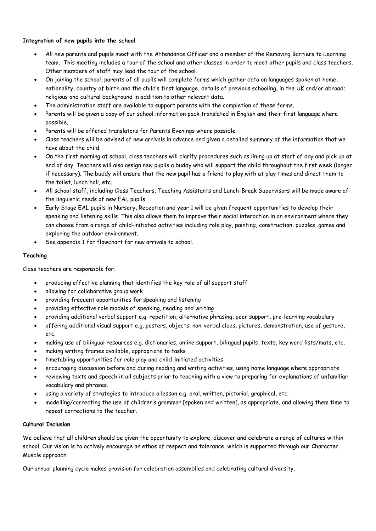# **Integration of new pupils into the school**

- All new parents and pupils meet with the Attendance Officer and a member of the Removing Barriers to Learning team. This meeting includes a tour of the school and other classes in order to meet other pupils and class teachers. Other members of staff may lead the tour of the school.
- On joining the school, parents of all pupils will complete forms which gather data on languages spoken at home, nationality, country of birth and the child's first language, details of previous schooling, in the UK and/or abroad; religious and cultural background in addition to other relevant data.
- The administration staff are available to support parents with the completion of these forms.
- Parents will be given a copy of our school information pack translated in English and their first language where possible.
- Parents will be offered translators for Parents Evenings where possible.
- Class teachers will be advised of new arrivals in advance and given a detailed summary of the information that we have about the child.
- On the first morning at school, class teachers will clarify procedures such as lining up at start of day and pick up at end of day. Teachers will also assign new pupils a buddy who will support the child throughout the first week (longer if necessary). The buddy will ensure that the new pupil has a friend to play with at play times and direct them to the toilet, lunch hall, etc.
- All school staff, including Class Teachers, Teaching Assistants and Lunch-Break Supervisors will be made aware of the linguistic needs of new EAL pupils.
- Early Stage EAL pupils in Nursery, Reception and year 1 will be given frequent opportunities to develop their speaking and listening skills. This also allows them to improve their social interaction in an environment where they can choose from a range of child-initiated activities including role play, painting, construction, puzzles, games and exploring the outdoor environment.
- See appendix 1 for flowchart for new arrivals to school.

# **Teaching**

Class teachers are responsible for:

- producing effective planning that identifies the key role of all support staff
- allowing for collaborative group work
- providing frequent opportunities for speaking and listening
- providing effective role models of speaking, reading and writing
- providing additional verbal support e.g. repetition, alternative phrasing, peer support, pre-learning vocabulary
- offering additional visual support e.g. posters, objects, non-verbal clues, pictures, demonstration, use of gesture, etc.
- making use of bilingual resources e.g. dictionaries, online support, bilingual pupils, texts, key word lists/mats, etc.
- making writing frames available, appropriate to tasks
- timetabling opportunities for role play and child-initiated activities
- encouraging discussion before and during reading and writing activities, using home language where appropriate
- reviewing texts and speech in all subjects prior to teaching with a view to preparing for explanations of unfamiliar vocabulary and phrases.
- using a variety of strategies to introduce a lesson e.g. oral, written, pictorial, graphical, etc.
- modelling/correcting the use of children's grammar [spoken and written], as appropriate, and allowing them time to repeat corrections to the teacher.

# **Cultural Inclusion**

We believe that all children should be given the opportunity to explore, discover and celebrate a range of cultures within school. Our vision is to actively encourage an ethos of respect and tolerance, which is supported through our Character Muscle approach.

Our annual planning cycle makes provision for celebration assemblies and celebrating cultural diversity.